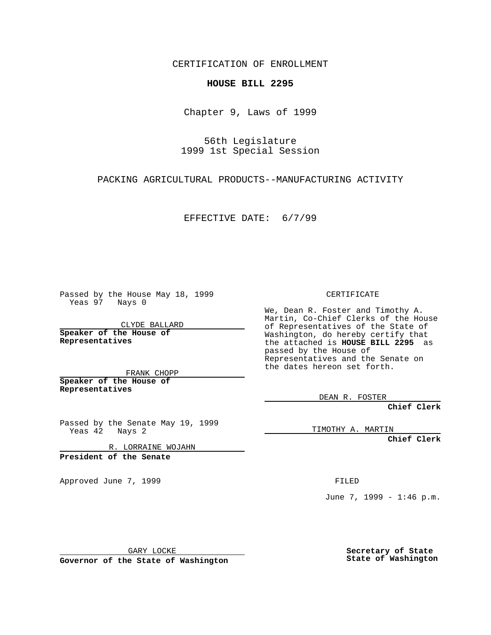CERTIFICATION OF ENROLLMENT

## **HOUSE BILL 2295**

Chapter 9, Laws of 1999

56th Legislature 1999 1st Special Session

PACKING AGRICULTURAL PRODUCTS--MANUFACTURING ACTIVITY

EFFECTIVE DATE: 6/7/99

Passed by the House May 18, 1999 Yeas 97 Nays 0

CLYDE BALLARD **Speaker of the House of Representatives**

FRANK CHOPP **Speaker of the House of Representatives**

Passed by the Senate May 19, 1999 Yeas 42 Nays 2

R. LORRAINE WOJAHN

**President of the Senate**

Approved June 7, 1999 **FILED** 

CERTIFICATE

We, Dean R. Foster and Timothy A. Martin, Co-Chief Clerks of the House of Representatives of the State of Washington, do hereby certify that the attached is **HOUSE BILL 2295** as passed by the House of Representatives and the Senate on the dates hereon set forth.

DEAN R. FOSTER

**Chief Clerk**

TIMOTHY A. MARTIN

**Chief Clerk**

June 7, 1999 - 1:46 p.m.

GARY LOCKE

**Governor of the State of Washington**

**Secretary of State State of Washington**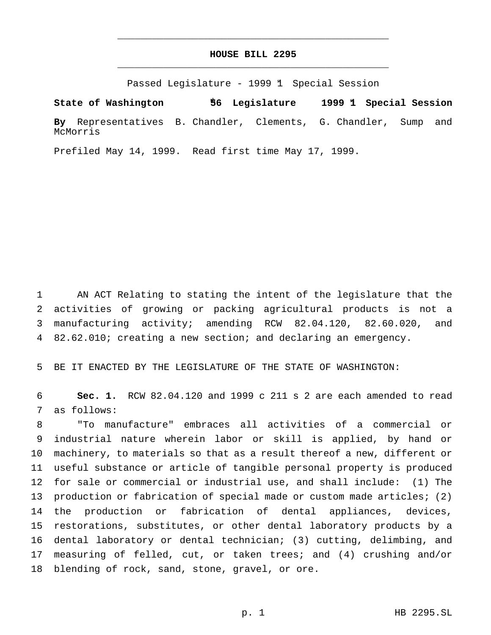## **HOUSE BILL 2295** \_\_\_\_\_\_\_\_\_\_\_\_\_\_\_\_\_\_\_\_\_\_\_\_\_\_\_\_\_\_\_\_\_\_\_\_\_\_\_\_\_\_\_\_\_\_\_

\_\_\_\_\_\_\_\_\_\_\_\_\_\_\_\_\_\_\_\_\_\_\_\_\_\_\_\_\_\_\_\_\_\_\_\_\_\_\_\_\_\_\_\_\_\_\_

Passed Legislature - 1999 1 Special Session

**State of Washington 56th Legislature 1999 1st Special Session By** Representatives B. Chandler, Clements, G. Chandler, Sump and McMorris

Prefiled May 14, 1999. Read first time May 17, 1999.

 AN ACT Relating to stating the intent of the legislature that the activities of growing or packing agricultural products is not a manufacturing activity; amending RCW 82.04.120, 82.60.020, and 82.62.010; creating a new section; and declaring an emergency.

BE IT ENACTED BY THE LEGISLATURE OF THE STATE OF WASHINGTON:

 **Sec. 1.** RCW 82.04.120 and 1999 c 211 s 2 are each amended to read as follows:

 "To manufacture" embraces all activities of a commercial or industrial nature wherein labor or skill is applied, by hand or machinery, to materials so that as a result thereof a new, different or useful substance or article of tangible personal property is produced for sale or commercial or industrial use, and shall include: (1) The production or fabrication of special made or custom made articles; (2) the production or fabrication of dental appliances, devices, restorations, substitutes, or other dental laboratory products by a dental laboratory or dental technician; (3) cutting, delimbing, and measuring of felled, cut, or taken trees; and (4) crushing and/or blending of rock, sand, stone, gravel, or ore.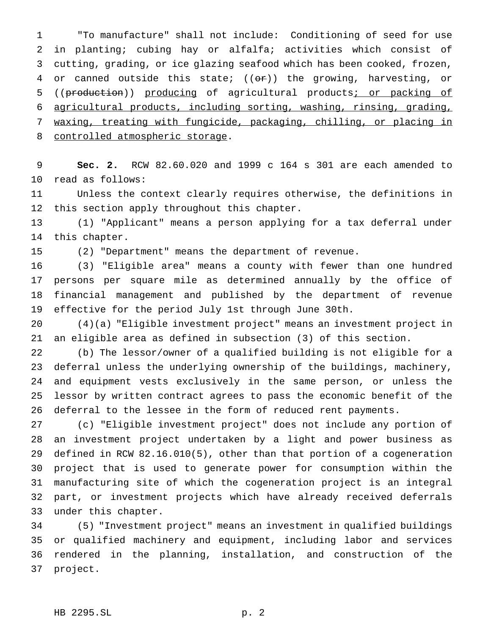"To manufacture" shall not include: Conditioning of seed for use in planting; cubing hay or alfalfa; activities which consist of cutting, grading, or ice glazing seafood which has been cooked, frozen, 4 or canned outside this state;  $((e^*)$  the growing, harvesting, or 5 ((production)) producing of agricultural products; or packing of agricultural products, including sorting, washing, rinsing, grading, waxing, treating with fungicide, packaging, chilling, or placing in 8 controlled atmospheric storage.

 **Sec. 2.** RCW 82.60.020 and 1999 c 164 s 301 are each amended to read as follows:

 Unless the context clearly requires otherwise, the definitions in this section apply throughout this chapter.

 (1) "Applicant" means a person applying for a tax deferral under this chapter.

(2) "Department" means the department of revenue.

 (3) "Eligible area" means a county with fewer than one hundred persons per square mile as determined annually by the office of financial management and published by the department of revenue effective for the period July 1st through June 30th.

 (4)(a) "Eligible investment project" means an investment project in an eligible area as defined in subsection (3) of this section.

 (b) The lessor/owner of a qualified building is not eligible for a deferral unless the underlying ownership of the buildings, machinery, and equipment vests exclusively in the same person, or unless the lessor by written contract agrees to pass the economic benefit of the deferral to the lessee in the form of reduced rent payments.

 (c) "Eligible investment project" does not include any portion of an investment project undertaken by a light and power business as defined in RCW 82.16.010(5), other than that portion of a cogeneration project that is used to generate power for consumption within the manufacturing site of which the cogeneration project is an integral part, or investment projects which have already received deferrals under this chapter.

 (5) "Investment project" means an investment in qualified buildings or qualified machinery and equipment, including labor and services rendered in the planning, installation, and construction of the project.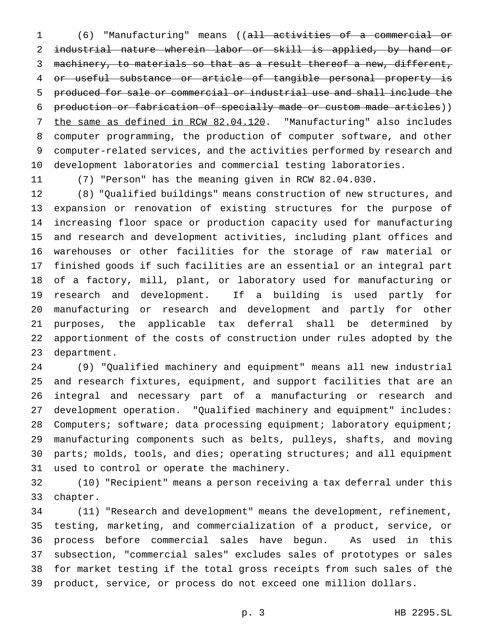(6) "Manufacturing" means ((all activities of a commercial or industrial nature wherein labor or skill is applied, by hand or 3 machinery, to materials so that as a result thereof a new, different, or useful substance or article of tangible personal property is produced for sale or commercial or industrial use and shall include the production or fabrication of specially made or custom made articles)) 7 the same as defined in RCW 82.04.120. "Manufacturing" also includes computer programming, the production of computer software, and other computer-related services, and the activities performed by research and development laboratories and commercial testing laboratories.

(7) "Person" has the meaning given in RCW 82.04.030.

 (8) "Qualified buildings" means construction of new structures, and expansion or renovation of existing structures for the purpose of increasing floor space or production capacity used for manufacturing and research and development activities, including plant offices and warehouses or other facilities for the storage of raw material or finished goods if such facilities are an essential or an integral part of a factory, mill, plant, or laboratory used for manufacturing or research and development. If a building is used partly for manufacturing or research and development and partly for other purposes, the applicable tax deferral shall be determined by apportionment of the costs of construction under rules adopted by the department.

 (9) "Qualified machinery and equipment" means all new industrial and research fixtures, equipment, and support facilities that are an integral and necessary part of a manufacturing or research and development operation. "Qualified machinery and equipment" includes: 28 Computers; software; data processing equipment; laboratory equipment; manufacturing components such as belts, pulleys, shafts, and moving 30 parts; molds, tools, and dies; operating structures; and all equipment used to control or operate the machinery.

 (10) "Recipient" means a person receiving a tax deferral under this chapter.

 (11) "Research and development" means the development, refinement, testing, marketing, and commercialization of a product, service, or process before commercial sales have begun. As used in this subsection, "commercial sales" excludes sales of prototypes or sales for market testing if the total gross receipts from such sales of the product, service, or process do not exceed one million dollars.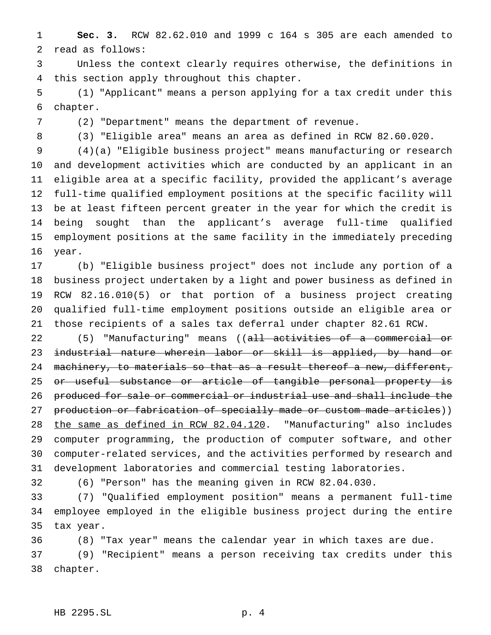**Sec. 3.** RCW 82.62.010 and 1999 c 164 s 305 are each amended to read as follows:

 Unless the context clearly requires otherwise, the definitions in this section apply throughout this chapter.

 (1) "Applicant" means a person applying for a tax credit under this chapter.

(2) "Department" means the department of revenue.

(3) "Eligible area" means an area as defined in RCW 82.60.020.

 (4)(a) "Eligible business project" means manufacturing or research and development activities which are conducted by an applicant in an eligible area at a specific facility, provided the applicant's average full-time qualified employment positions at the specific facility will be at least fifteen percent greater in the year for which the credit is being sought than the applicant's average full-time qualified employment positions at the same facility in the immediately preceding year.

 (b) "Eligible business project" does not include any portion of a business project undertaken by a light and power business as defined in RCW 82.16.010(5) or that portion of a business project creating qualified full-time employment positions outside an eligible area or those recipients of a sales tax deferral under chapter 82.61 RCW.

22 (5) "Manufacturing" means ((all activities of a commercial or 23 industrial nature wherein labor or skill is applied, by hand or 24 machinery, to materials so that as a result thereof a new, different, 25 <del>or useful substance or article of tangible personal property is</del> produced for sale or commercial or industrial use and shall include the 27 production or fabrication of specially made or custom made articles)) the same as defined in RCW 82.04.120. "Manufacturing" also includes computer programming, the production of computer software, and other computer-related services, and the activities performed by research and development laboratories and commercial testing laboratories.

(6) "Person" has the meaning given in RCW 82.04.030.

 (7) "Qualified employment position" means a permanent full-time employee employed in the eligible business project during the entire tax year.

 (8) "Tax year" means the calendar year in which taxes are due. (9) "Recipient" means a person receiving tax credits under this chapter.